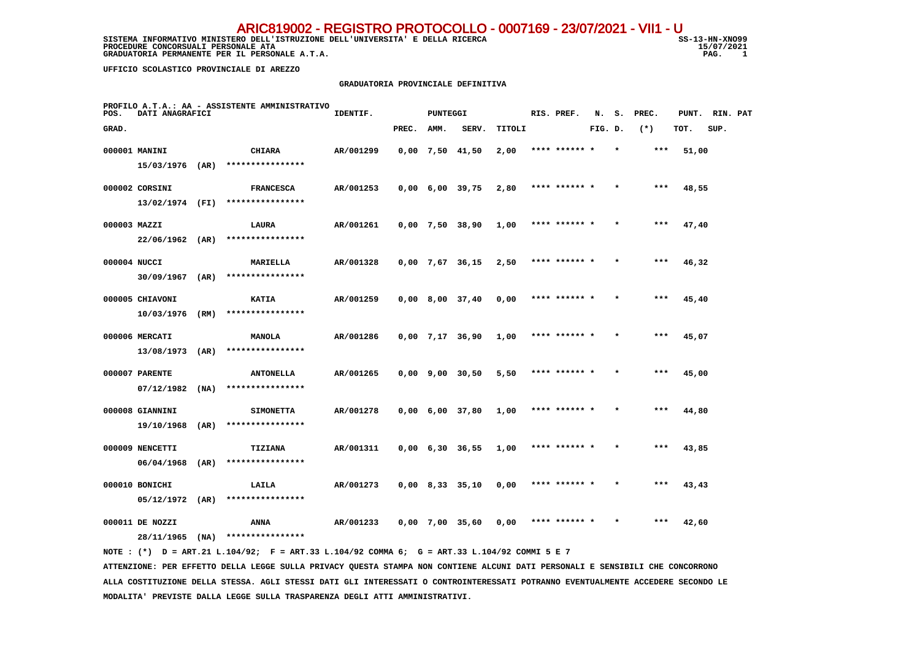SISTEMA INFORMATIVO MINISTERO DELL'ISTRUZIONE DELL'UNIVERSITA' E DELLA RICERCA STRUGIONE SS-13-HN-XNO99 **PROCEDURE CONCORSUALI PERSONALE ATA** 15/07/2021 15/07/2021 15:08 15:08 15:09 15:09 15:09 15:09 15:09 15:09 15:09  **GRADUATORIA PERMANENTE PER IL PERSONALE A.T.A.** 

15/07/2021  $\overline{1}$ 

 **UFFICIO SCOLASTICO PROVINCIALE DI AREZZO**

#### **GRADUATORIA PROVINCIALE DEFINITIVA**

| POS.         | DATI ANAGRAFICI   |      | PROFILO A.T.A.: AA - ASSISTENTE AMMINISTRATIVO                                              | IDENTIF.  |       | <b>PUNTEGGI</b> |                               |        | RIS. PREF.    | N.      | s. | PREC. |       | PUNT. RIN. PAT |  |
|--------------|-------------------|------|---------------------------------------------------------------------------------------------|-----------|-------|-----------------|-------------------------------|--------|---------------|---------|----|-------|-------|----------------|--|
| GRAD.        |                   |      |                                                                                             |           | PREC. | AMM.            | SERV.                         | TITOLI |               | FIG. D. |    | $(*)$ | TOT.  | SUP.           |  |
|              | 000001 MANINI     |      | <b>CHIARA</b>                                                                               | AR/001299 |       |                 | $0,00$ 7,50 41,50             | 2,00   | **** ****** * |         |    | $***$ | 51,00 |                |  |
|              | 15/03/1976 (AR)   |      | ****************                                                                            |           |       |                 |                               |        |               |         |    |       |       |                |  |
|              | 000002 CORSINI    |      | <b>FRANCESCA</b>                                                                            | AR/001253 |       |                 | $0,00$ 6,00 39,75             | 2,80   | **** ****** * |         |    | $***$ | 48,55 |                |  |
|              | 13/02/1974 (FI)   |      | ****************                                                                            |           |       |                 |                               |        |               |         |    |       |       |                |  |
| 000003 MAZZI |                   |      | LAURA                                                                                       | AR/001261 |       |                 | $0,00$ 7,50 38,90             | 1,00   | **** ******   |         |    |       | 47,40 |                |  |
|              | $22/06/1962$ (AR) |      | ****************                                                                            |           |       |                 |                               |        |               |         |    |       |       |                |  |
| 000004 NUCCI |                   |      | MARIELLA                                                                                    | AR/001328 |       |                 | $0,00$ 7,67 36,15             | 2,50   | **** ****** * |         |    | ***   | 46,32 |                |  |
|              | $30/09/1967$ (AR) |      | ****************                                                                            |           |       |                 |                               |        |               |         |    |       |       |                |  |
|              | 000005 CHIAVONI   |      | KATIA                                                                                       | AR/001259 |       |                 | $0,00$ 8,00 37,40             | 0,00   | **** ****** * |         |    | ***   | 45,40 |                |  |
|              | 10/03/1976        | (RM) | ****************                                                                            |           |       |                 |                               |        |               |         |    |       |       |                |  |
|              | 000006 MERCATI    |      | MANOLA                                                                                      | AR/001286 |       |                 | $0,00$ 7,17 36,90             | 1,00   | **** ****** * |         |    | $***$ | 45,07 |                |  |
|              | 13/08/1973 (AR)   |      | ****************                                                                            |           |       |                 |                               |        |               |         |    |       |       |                |  |
|              | 000007 PARENTE    |      | <b>ANTONELLA</b>                                                                            | AR/001265 |       |                 | $0,00$ $9,00$ $30,50$         | 5,50   | **** ****** * |         |    | ***   | 45,00 |                |  |
|              | 07/12/1982        | (NA) | ****************                                                                            |           |       |                 |                               |        |               |         |    |       |       |                |  |
|              | 000008 GIANNINI   |      | <b>SIMONETTA</b>                                                                            | AR/001278 |       |                 | $0,00$ 6,00 37,80             | 1,00   | **** ****** * |         |    | $***$ | 44,80 |                |  |
|              | 19/10/1968        | (AR) | ****************                                                                            |           |       |                 |                               |        |               |         |    |       |       |                |  |
|              | 000009 NENCETTI   |      | <b>TIZIANA</b>                                                                              | AR/001311 |       |                 | $0,00 \quad 6,30 \quad 36,55$ | 1,00   | **** ****** * |         |    | ***   | 43,85 |                |  |
|              | 06/04/1968        | (AR) | ****************                                                                            |           |       |                 |                               |        |               |         |    |       |       |                |  |
|              | 000010 BONICHI    |      | LAILA                                                                                       | AR/001273 |       |                 | $0,00$ 8,33 35,10             | 0,00   | **** ****** * |         |    | $***$ | 43,43 |                |  |
|              | $05/12/1972$ (AR) |      | ****************                                                                            |           |       |                 |                               |        |               |         |    |       |       |                |  |
|              | 000011 DE NOZZI   |      | ANNA                                                                                        | AR/001233 |       |                 | 0,00 7,00 35,60               | 0,00   | **** ****** * |         |    | ***   | 42,60 |                |  |
|              |                   |      | $28/11/1965$ (NA) *****************                                                         |           |       |                 |                               |        |               |         |    |       |       |                |  |
|              |                   |      | NOTE: (*) D = ART.21 L.104/92; F = ART.33 L.104/92 COMMA 6; G = ART.33 L.104/92 COMMI 5 E 7 |           |       |                 |                               |        |               |         |    |       |       |                |  |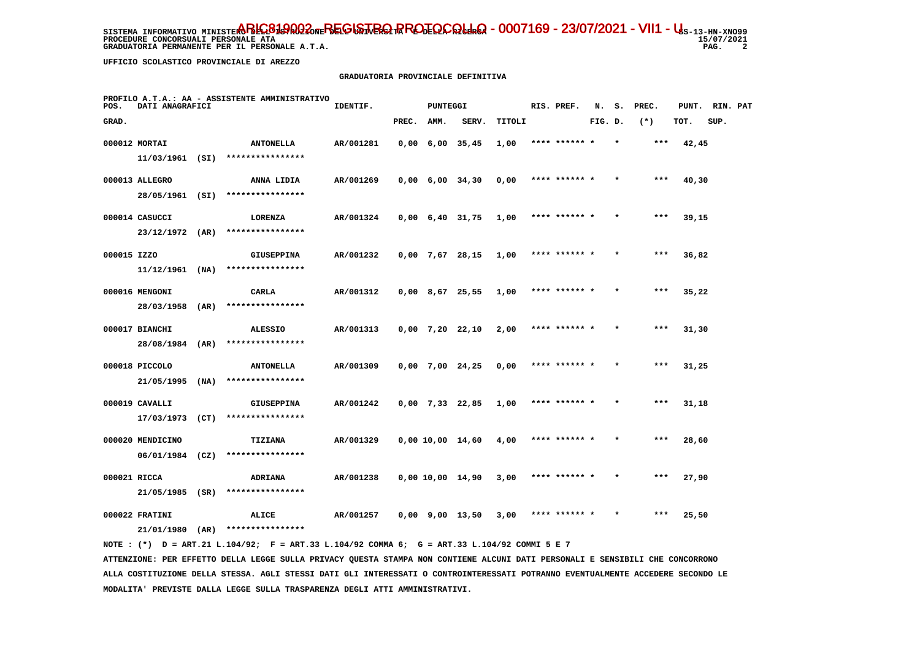SISTEMA INFORMATIVO MINISTE**RO BELGISTA DEL GISTRIQ PROTOCOLLO - 0007169 - 23/07/2021 - VII1 - U**s-13-HN-XNO99 **PROCEDURE CONCORSUALI PERSONALE ATA GRADUATORIA PERMANENTE PER IL PERSONALE A.T.A. PAG. 2**

 **UFFICIO SCOLASTICO PROVINCIALE DI AREZZO**

# **GRADUATORIA PROVINCIALE DEFINITIVA**

| POS.        | DATI ANAGRAFICI   | PROFILO A.T.A.: AA - ASSISTENTE AMMINISTRATIVO | IDENTIF.  |       | <b>PUNTEGGI</b> |                               |        |      | RIS. PREF.    | N.      | s. | PREC. | PUNT. RIN. PAT |      |  |
|-------------|-------------------|------------------------------------------------|-----------|-------|-----------------|-------------------------------|--------|------|---------------|---------|----|-------|----------------|------|--|
| GRAD.       |                   |                                                |           | PREC. | AMM.            | SERV.                         | TITOLI |      |               | FIG. D. |    | $(*)$ | TOT.           | SUP. |  |
|             | 000012 MORTAI     | <b>ANTONELLA</b>                               | AR/001281 |       |                 | $0,00 \quad 6,00 \quad 35,45$ | 1,00   |      |               |         |    | ***   | 42,45          |      |  |
|             |                   | 11/03/1961 (SI) ****************               |           |       |                 |                               |        |      |               |         |    |       |                |      |  |
|             | 000013 ALLEGRO    | ANNA LIDIA                                     | AR/001269 |       |                 | $0,00 \quad 6,00 \quad 34,30$ | 0,00   |      | **** ****** * |         |    | $***$ | 40,30          |      |  |
|             | 28/05/1961 (SI)   | ****************                               |           |       |                 |                               |        |      |               |         |    |       |                |      |  |
|             | 000014 CASUCCI    | LORENZA                                        | AR/001324 |       |                 | $0,00 \quad 6,40 \quad 31,75$ | 1,00   |      | **** ****** * |         |    | ***   | 39,15          |      |  |
|             | 23/12/1972 (AR)   | ****************                               |           |       |                 |                               |        |      |               |         |    |       |                |      |  |
| 000015 IZZO |                   | <b>GIUSEPPINA</b>                              | AR/001232 |       |                 | $0,00$ 7,67 28,15             | 1,00   |      | **** ****** * |         |    | $***$ | 36,82          |      |  |
|             | $11/12/1961$ (NA) | ****************                               |           |       |                 |                               |        |      |               |         |    |       |                |      |  |
|             | 000016 MENGONI    | <b>CARLA</b>                                   | AR/001312 |       |                 | $0,00$ 8,67 25,55             | 1,00   |      | **** ****** * |         |    | $***$ | 35,22          |      |  |
|             | 28/03/1958 (AR)   | ****************                               |           |       |                 |                               |        |      |               |         |    |       |                |      |  |
|             | 000017 BIANCHI    | <b>ALESSIO</b>                                 | AR/001313 |       |                 | $0,00$ 7,20 22,10             | 2,00   |      | **** ******   |         |    | ***   | 31,30          |      |  |
|             | 28/08/1984 (AR)   | ****************                               |           |       |                 |                               |        |      |               |         |    |       |                |      |  |
|             | 000018 PICCOLO    | <b>ANTONELLA</b>                               | AR/001309 |       |                 | $0,00$ 7,00 24,25             | 0,00   |      | **** ******   |         |    | ***   | 31,25          |      |  |
|             | 21/05/1995 (NA)   | ****************                               |           |       |                 |                               |        |      |               |         |    |       |                |      |  |
|             | 000019 CAVALLI    | <b>GIUSEPPINA</b>                              | AR/001242 |       |                 | $0,00$ 7,33 22,85             | 1,00   |      | **** ****** * |         |    | $***$ | 31,18          |      |  |
|             | 17/03/1973 (CT)   | ****************                               |           |       |                 |                               |        |      |               |         |    |       |                |      |  |
|             | 000020 MENDICINO  | TIZIANA                                        | AR/001329 |       |                 | $0,00$ 10,00 14,60            | 4,00   |      | **** ****** * |         |    | ***   | 28,60          |      |  |
|             | $06/01/1984$ (CZ) | ****************                               |           |       |                 |                               |        |      |               |         |    |       |                |      |  |
|             | 000021 RICCA      | ADRIANA                                        | AR/001238 |       |                 | $0,00$ 10,00 14,90            | 3,00   |      | **** ****** * |         |    | $***$ | 27,90          |      |  |
|             | $21/05/1985$ (SR) | ****************                               |           |       |                 |                               |        |      |               |         |    |       |                |      |  |
|             | 000022 FRATINI    | ALICE<br>****************                      | AR/001257 |       |                 | 0,00 9,00 13,50               | 3,00   | **** |               |         |    | ***   | 25,50          |      |  |
|             | 21/01/1980 (AR)   |                                                |           |       |                 |                               |        |      |               |         |    |       |                |      |  |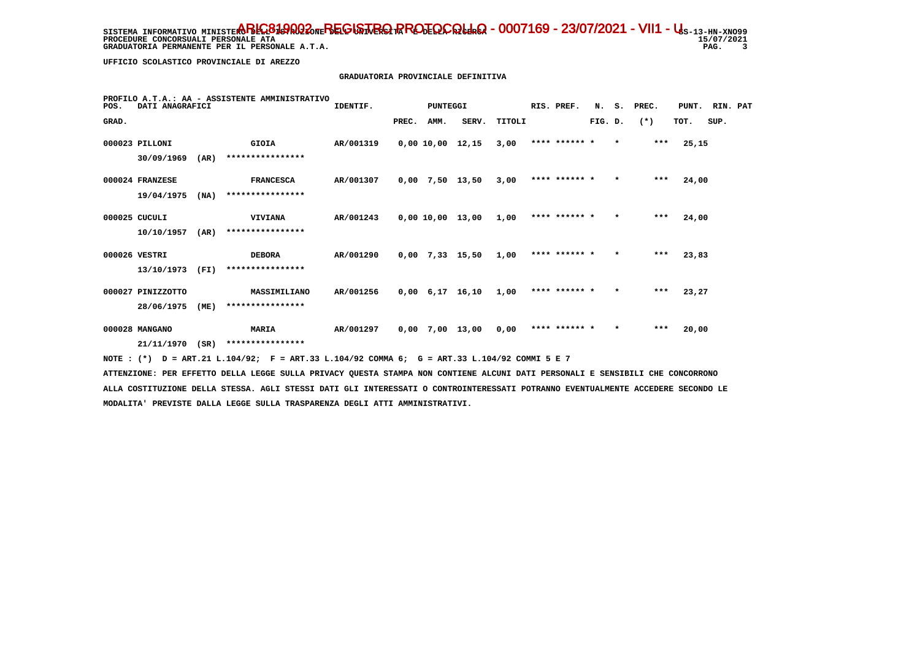SISTEMA INFORMATIVO MINISTE**RO BELGISTA DEL GISTRIQ PROTOCOLLO - 0007169 - 23/07/2021 - VII1 - U**s-13-HN-XNO99 15/07/2021 **PROCEDURE CONCORSUALI PERSONALE ATA** PAG. 3  **GRADUATORIA PERMANENTE PER IL PERSONALE A.T.A.** 

 **UFFICIO SCOLASTICO PROVINCIALE DI AREZZO**

### **GRADUATORIA PROVINCIALE DEFINITIVA**

| POS.  | DATI ANAGRAFICI   |      | PROFILO A.T.A.: AA - ASSISTENTE AMMINISTRATIVO | IDENTIF.  |       | <b>PUNTEGGI</b> |                               |        | RIS. PREF.    | N.      | s.      | PREC. | PUNT. RIN. PAT |      |  |
|-------|-------------------|------|------------------------------------------------|-----------|-------|-----------------|-------------------------------|--------|---------------|---------|---------|-------|----------------|------|--|
| GRAD. |                   |      |                                                |           | PREC. | AMM.            | SERV.                         | TITOLI |               | FIG. D. |         | $(*)$ | TOT.           | SUP. |  |
|       | 000023 PILLONI    |      | <b>GIOIA</b>                                   | AR/001319 |       |                 | $0,00$ 10,00 12,15            | 3,00   | **** ****** * |         | $\star$ | $***$ | 25,15          |      |  |
|       | 30/09/1969        | (AR) | ****************                               |           |       |                 |                               |        |               |         |         |       |                |      |  |
|       | 000024 FRANZESE   |      | <b>FRANCESCA</b>                               | AR/001307 |       |                 | $0,00$ 7,50 13,50             | 3,00   | **** ****** * |         | $\star$ | $***$ | 24,00          |      |  |
|       | 19/04/1975        | (NA) | ****************                               |           |       |                 |                               |        |               |         |         |       |                |      |  |
|       | 000025 CUCULI     |      | <b>VIVIANA</b>                                 | AR/001243 |       |                 | 0,00 10,00 13,00              | 1,00   | **** ****** * |         | $\star$ | $***$ | 24,00          |      |  |
|       | 10/10/1957        | (AR) | ****************                               |           |       |                 |                               |        |               |         |         |       |                |      |  |
|       | 000026 VESTRI     |      | <b>DEBORA</b>                                  | AR/001290 |       |                 | $0,00$ 7,33 15,50             | 1,00   | **** ****** * |         | $\star$ | $***$ | 23,83          |      |  |
|       | 13/10/1973        | (FI) | ****************                               |           |       |                 |                               |        |               |         |         |       |                |      |  |
|       | 000027 PINIZZOTTO |      | MASSIMILIANO                                   | AR/001256 |       |                 | $0,00 \quad 6,17 \quad 16,10$ | 1,00   | **** ****** * |         | $\star$ | $***$ | 23,27          |      |  |
|       | 28/06/1975        | (ME) | ****************                               |           |       |                 |                               |        |               |         |         |       |                |      |  |
|       | 000028 MANGANO    |      | <b>MARIA</b>                                   | AR/001297 | 0,00  |                 | 7,00 13,00                    | 0,00   | **** ****** * |         | $\star$ | $***$ | 20,00          |      |  |
|       | 21/11/1970        | (SR) | ****************                               |           |       |                 |                               |        |               |         |         |       |                |      |  |

 **NOTE : (\*) D = ART.21 L.104/92; F = ART.33 L.104/92 COMMA 6; G = ART.33 L.104/92 COMMI 5 E 7**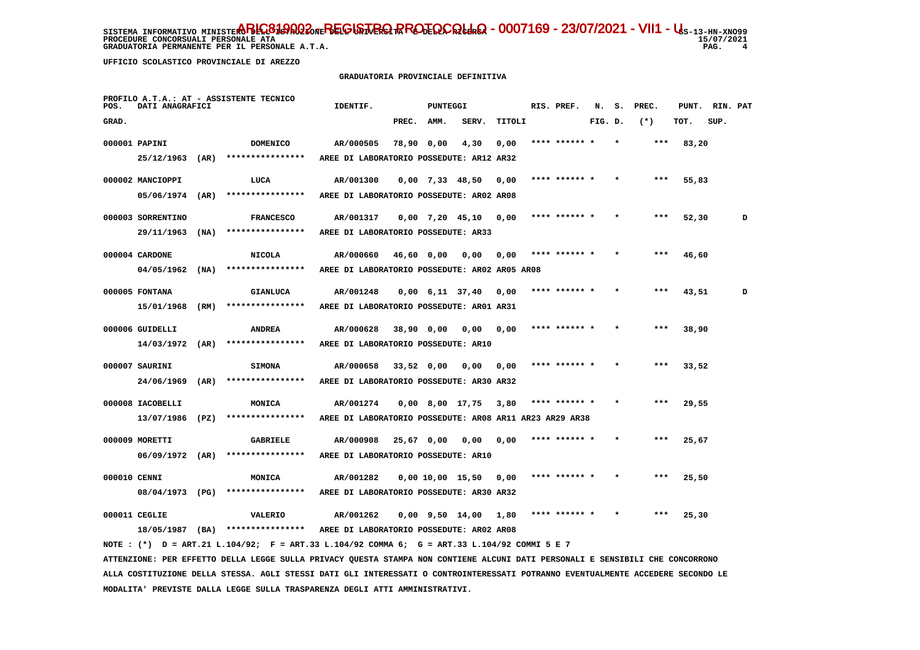**UFFICIO SCOLASTICO PROVINCIALE DI AREZZO**

## **GRADUATORIA PROVINCIALE DEFINITIVA**

| POS.         | DATI ANAGRAFICI                     |      | PROFILO A.T.A.: AT - ASSISTENTE TECNICO                                                                                       | IDENTIF.                                                   |              | <b>PUNTEGGI</b>   |                               |        | RIS. PREF.    | N. S.   | PREC. | PUNT. | RIN. PAT |   |
|--------------|-------------------------------------|------|-------------------------------------------------------------------------------------------------------------------------------|------------------------------------------------------------|--------------|-------------------|-------------------------------|--------|---------------|---------|-------|-------|----------|---|
| GRAD.        |                                     |      |                                                                                                                               |                                                            | PREC.        | AMM.              | SERV.                         | TITOLI |               | FIG. D. | $(*)$ | TOT.  | SUP.     |   |
|              | 000001 PAPINI                       |      | <b>DOMENICO</b>                                                                                                               | AR/000505                                                  | 78,90 0,00   |                   | 4,30                          | 0,00   | **** ****** * |         | $***$ | 83,20 |          |   |
|              | 25/12/1963                          | (AR) | ****************                                                                                                              | AREE DI LABORATORIO POSSEDUTE: AR12 AR32                   |              |                   |                               |        |               |         |       |       |          |   |
|              | 000002 MANCIOPPI                    |      | LUCA                                                                                                                          | AR/001300                                                  |              | $0,00$ 7,33 48,50 |                               | 0,00   | **** ****** * |         | ***   | 55,83 |          |   |
|              | 05/06/1974                          | (AR) | ****************                                                                                                              | AREE DI LABORATORIO POSSEDUTE: AR02 AR08                   |              |                   |                               |        |               |         |       |       |          |   |
|              | 000003 SORRENTINO                   |      | <b>FRANCESCO</b>                                                                                                              | AR/001317                                                  |              |                   | $0,00$ 7,20 45,10             | 0,00   | **** ****** * |         | ***   | 52,30 |          | D |
|              | 29/11/1963                          | (MA) | ****************                                                                                                              | AREE DI LABORATORIO POSSEDUTE: AR33                        |              |                   |                               |        |               |         |       |       |          |   |
|              |                                     |      |                                                                                                                               |                                                            |              |                   |                               |        |               |         |       |       |          |   |
|              | 000004 CARDONE<br>$04/05/1962$ (NA) |      | <b>NICOLA</b><br>****************                                                                                             | AR/000660<br>AREE DI LABORATORIO POSSEDUTE: AR02 AR05 AR08 |              | 46,60 0,00        | 0,00                          | 0,00   | **** ****** * |         | ***   | 46,60 |          |   |
|              |                                     |      |                                                                                                                               |                                                            |              |                   |                               |        |               |         |       |       |          |   |
|              | 000005 FONTANA                      |      | <b>GIANLUCA</b>                                                                                                               | AR/001248                                                  |              |                   | $0,00 \quad 6,11 \quad 37,40$ | 0,00   | **** ****** * |         | ***   | 43,51 |          | D |
|              | 15/01/1968                          | (RM) | ****************                                                                                                              | AREE DI LABORATORIO POSSEDUTE: AR01 AR31                   |              |                   |                               |        |               |         |       |       |          |   |
|              | 000006 GUIDELLI                     |      | <b>ANDREA</b>                                                                                                                 | AR/000628                                                  | 38,90 0,00   |                   | 0,00                          | 0,00   |               |         |       | 38,90 |          |   |
|              | $14/03/1972$ (AR)                   |      | ****************                                                                                                              | AREE DI LABORATORIO POSSEDUTE: AR10                        |              |                   |                               |        |               |         |       |       |          |   |
|              | 000007 SAURINI                      |      | <b>SIMONA</b>                                                                                                                 | AR/000658                                                  | $33,52$ 0,00 |                   | 0,00                          | 0,00   |               |         |       | 33,52 |          |   |
|              | 24/06/1969                          | (AR) | ****************                                                                                                              | AREE DI LABORATORIO POSSEDUTE: AR30 AR32                   |              |                   |                               |        |               |         |       |       |          |   |
|              | 000008 IACOBELLI                    |      | MONICA                                                                                                                        | AR/001274                                                  |              |                   | $0,00$ 8,00 17,75             | 3,80   | **** ****** * |         |       | 29,55 |          |   |
|              | 13/07/1986                          | (PZ) | ****************                                                                                                              | AREE DI LABORATORIO POSSEDUTE: AR08 AR11 AR23 AR29 AR38    |              |                   |                               |        |               |         |       |       |          |   |
|              |                                     |      |                                                                                                                               |                                                            |              |                   |                               |        | **** ****** * |         | ***   |       |          |   |
|              | 000009 MORETTI<br>06/09/1972        | (AR) | <b>GABRIELE</b><br>****************                                                                                           | AR/000908<br>AREE DI LABORATORIO POSSEDUTE: AR10           | $25.67$ 0.00 |                   | 0,00                          | 0.00   |               |         |       | 25,67 |          |   |
|              |                                     |      |                                                                                                                               |                                                            |              |                   |                               |        |               |         |       |       |          |   |
| 000010 CENNI |                                     |      | MONICA                                                                                                                        | AR/001282                                                  |              |                   | 0,00 10,00 15,50              | 0,00   | **** ****** * |         | ***   | 25,50 |          |   |
|              | 08/04/1973 (PG)                     |      | ****************                                                                                                              | AREE DI LABORATORIO POSSEDUTE: AR30 AR32                   |              |                   |                               |        |               |         |       |       |          |   |
|              | 000011 CEGLIE                       |      | VALERIO                                                                                                                       | AR/001262                                                  |              |                   | $0,00$ $9,50$ $14,00$         | 1,80   | **** ****** * |         | ***   | 25,30 |          |   |
|              |                                     |      | 18/05/1987 (BA) ****************                                                                                              | AREE DI LABORATORIO POSSEDUTE: AR02 AR08                   |              |                   |                               |        |               |         |       |       |          |   |
|              |                                     |      | NOTE : (*) D = ART.21 L.104/92; F = ART.33 L.104/92 COMMA 6; G = ART.33 L.104/92 COMMI 5 E 7                                  |                                                            |              |                   |                               |        |               |         |       |       |          |   |
|              |                                     |      | ATTENZIONE: PER EFFETTO DELLA LEGGE SULLA PRIVACY QUESTA STAMPA NON CONTIENE ALCUNI DATI PERSONALI E SENSIBILI CHE CONCORRONO |                                                            |              |                   |                               |        |               |         |       |       |          |   |

 **ALLA COSTITUZIONE DELLA STESSA. AGLI STESSI DATI GLI INTERESSATI O CONTROINTERESSATI POTRANNO EVENTUALMENTE ACCEDERE SECONDO LE MODALITA' PREVISTE DALLA LEGGE SULLA TRASPARENZA DEGLI ATTI AMMINISTRATIVI.**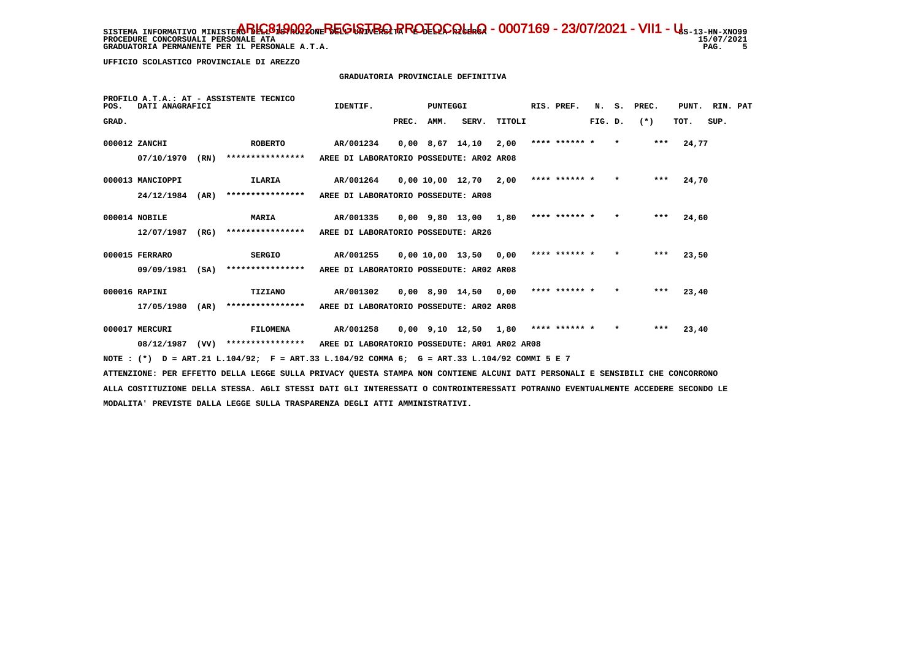GRADUATORIA PERMANENTE PER IL PERSONALE A.T.A.

15/07/2021 PAG. 5

 **UFFICIO SCOLASTICO PROVINCIALE DI AREZZO**

# **GRADUATORIA PROVINCIALE DEFINITIVA**

| POS.  | DATI ANAGRAFICI  |      | PROFILO A.T.A.: AT - ASSISTENTE TECNICO                                                     | IDENTIF.                                      |       | PUNTEGGI |                              |        | RIS. PREF.    | N.      | s.      | PREC. | PUNT. | RIN. PAT |  |
|-------|------------------|------|---------------------------------------------------------------------------------------------|-----------------------------------------------|-------|----------|------------------------------|--------|---------------|---------|---------|-------|-------|----------|--|
| GRAD. |                  |      |                                                                                             |                                               | PREC. | AMM.     | SERV.                        | TITOLI |               | FIG. D. |         | $(*)$ | TOT.  | SUP.     |  |
|       | 000012 ZANCHI    |      | <b>ROBERTO</b>                                                                              | AR/001234                                     |       |          | 0,00 8,67 14,10              | 2,00   | **** ****** * |         | $\star$ | ***   | 24,77 |          |  |
|       | 07/10/1970       | (RN) | ****************                                                                            | AREE DI LABORATORIO POSSEDUTE: AR02 AR08      |       |          |                              |        |               |         |         |       |       |          |  |
|       | 000013 MANCIOPPI |      | ILARIA                                                                                      | AR/001264                                     |       |          | 0,00 10,00 12,70             | 2,00   | **** ****** * |         | $\star$ | $***$ | 24,70 |          |  |
|       | 24/12/1984       | (AR) | ****************                                                                            | AREE DI LABORATORIO POSSEDUTE: AR08           |       |          |                              |        |               |         |         |       |       |          |  |
|       | 000014 NOBILE    |      | <b>MARIA</b>                                                                                | AR/001335                                     |       |          | $0.00$ $9.80$ $13.00$ $1.80$ |        | **** ****** * |         | $\star$ | $***$ | 24,60 |          |  |
|       | 12/07/1987       | (RG) | ****************                                                                            | AREE DI LABORATORIO POSSEDUTE: AR26           |       |          |                              |        |               |         |         |       |       |          |  |
|       | 000015 FERRARO   |      | <b>SERGIO</b>                                                                               | AR/001255                                     |       |          | 0,00 10,00 13,50             | 0,00   | **** ****** * |         | $\star$ | $***$ | 23,50 |          |  |
|       | 09/09/1981       | (SA) | ****************                                                                            | AREE DI LABORATORIO POSSEDUTE: AR02 AR08      |       |          |                              |        |               |         |         |       |       |          |  |
|       | 000016 RAPINI    |      | TIZIANO                                                                                     | AR/001302                                     |       |          | $0,00$ 8,90 14,50            | 0.00   | **** ****** * |         | $\star$ | ***   | 23,40 |          |  |
|       | 17/05/1980       | (AR) | ****************                                                                            | AREE DI LABORATORIO POSSEDUTE: AR02 AR08      |       |          |                              |        |               |         |         |       |       |          |  |
|       | 000017 MERCURI   |      | FILOMENA                                                                                    | AR/001258                                     |       |          | $0,00$ 9,10 12,50 1,80       |        | **** ****** * |         | $\star$ | $***$ | 23,40 |          |  |
|       | 08/12/1987       | (VV) | ****************                                                                            | AREE DI LABORATORIO POSSEDUTE: AR01 AR02 AR08 |       |          |                              |        |               |         |         |       |       |          |  |
|       |                  |      | NOTE: (*) D = ART.21 L.104/92; F = ART.33 L.104/92 COMMA 6; G = ART.33 L.104/92 COMMI 5 E 7 |                                               |       |          |                              |        |               |         |         |       |       |          |  |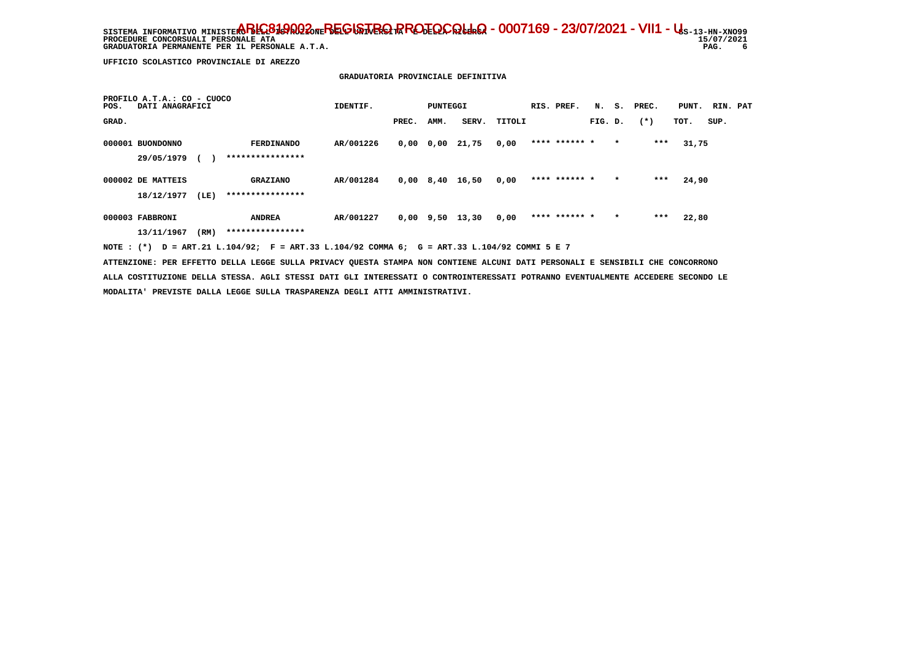SISTEMA INFORMATIVO MINISTE**RO BELGISTA DEL GISTRIQ PROTOCOLLO - 0007169 - 23/07/2021 - VII1 - U**s-13-HN-XNO99 15/07/2021 **PROCEDURE CONCORSUALI PERSONALE ATA**  $6^{\circ}$  **GRADUATORIA PERMANENTE PER IL PERSONALE A.T.A. PAG. 6**

 **UFFICIO SCOLASTICO PROVINCIALE DI AREZZO**

 **PROFILO A.T.A.: CO - CUOCO**

#### **GRADUATORIA PROVINCIALE DEFINITIVA**

|       |                                 |      |                                       | IDENTIF.  |       | PUNTEGGI    |       |        | RIS. PREF.    | N.      | s.      | PREC.  | PUNT. | RIN. PAT |  |
|-------|---------------------------------|------|---------------------------------------|-----------|-------|-------------|-------|--------|---------------|---------|---------|--------|-------|----------|--|
| GRAD. |                                 |      |                                       |           | PREC. | AMM.        | SERV. | TITOLI |               | FIG. D. |         | $(* )$ | TOT.  | SUP.     |  |
|       | 000001 BUONDONNO<br>29/05/1979  |      | <b>FERDINANDO</b><br>**************** | AR/001226 | 0,00  | 0,00        | 21,75 | 0,00   | **** ****** * |         | $\star$ | ***    | 31,75 |          |  |
|       | 000002 DE MATTEIS<br>18/12/1977 | (LE) | <b>GRAZIANO</b><br>****************   | AR/001284 | 0,00  | 8,40        | 16,50 | 0,00   | **** ****** * |         | $\star$ | ***    | 24,90 |          |  |
|       | 000003 FABBRONI<br>13/11/1967   | (RM) | <b>ANDREA</b><br>****************     | AR/001227 |       | $0,00$ 9,50 | 13,30 | 0,00   | **** ****** * |         | $\star$ | ***    | 22,80 |          |  |

 **NOTE : (\*) D = ART.21 L.104/92; F = ART.33 L.104/92 COMMA 6; G = ART.33 L.104/92 COMMI 5 E 7**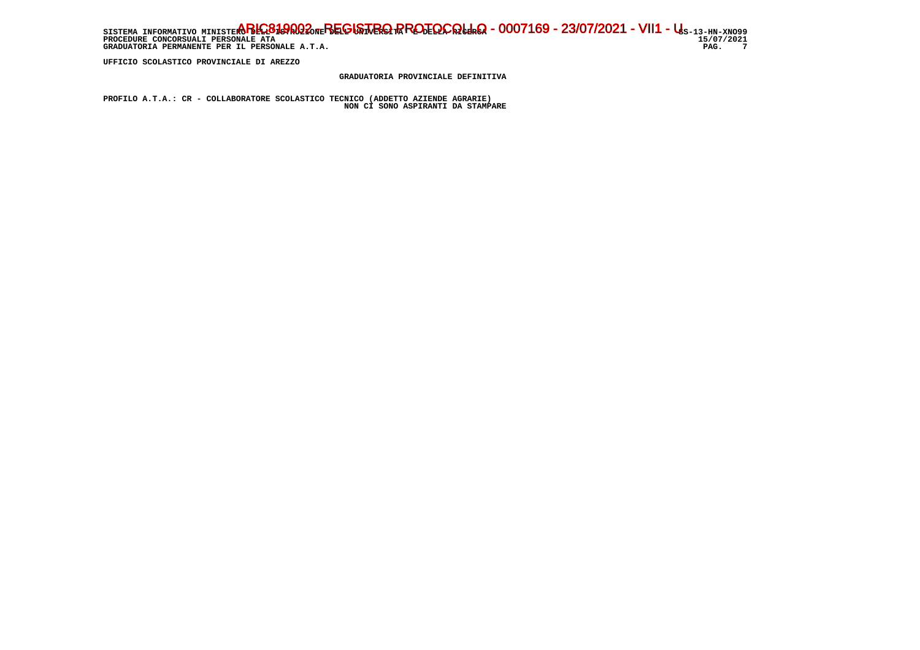SISTEMA INFORMATIVO MINISTE**RO BELGISTA DEL GISTRIQ PROTOCOLLO - 0007169 - 23/07/2021 - VII1 - U**s-13-HN-XNO99 15/07/2021 **PROCEDURE CONCORSUALI PERSONALE ATA** PAG. 7 GRADUATORIA PERMANENTE PER IL PERSONALE A.T.A.

 **UFFICIO SCOLASTICO PROVINCIALE DI AREZZO**

 **GRADUATORIA PROVINCIALE DEFINITIVA**

 **PROFILO A.T.A.: CR - COLLABORATORE SCOLASTICO TECNICO (ADDETTO AZIENDE AGRARIE) NON CI SONO ASPIRANTI DA STAMPARE**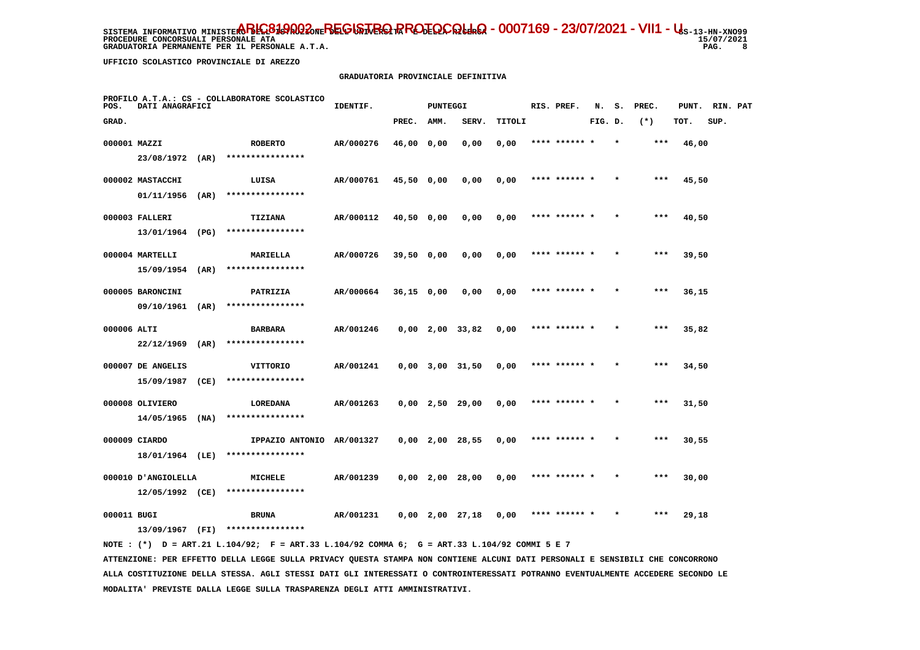**GRADUATORIA PERMANENTE PER IL PERSONALE A.T.A. PAG. 8**

 **UFFICIO SCOLASTICO PROVINCIALE DI AREZZO**

#### **GRADUATORIA PROVINCIALE DEFINITIVA**

| POS.         | DATI ANAGRAFICI                        |      | PROFILO A.T.A.: CS - COLLABORATORE SCOLASTICO | IDENTIF.  |              | PUNTEGGI |                       |        | RIS. PREF.    | N.      | s.      | PREC. | PUNT. | RIN. PAT |  |
|--------------|----------------------------------------|------|-----------------------------------------------|-----------|--------------|----------|-----------------------|--------|---------------|---------|---------|-------|-------|----------|--|
| GRAD.        |                                        |      |                                               |           | PREC.        | AMM.     | SERV.                 | TITOLI |               | FIG. D. |         | $(*)$ | TOT.  | SUP.     |  |
| 000001 MAZZI |                                        |      | <b>ROBERTO</b>                                | AR/000276 | 46,00 0,00   |          | 0,00                  | 0,00   | **** ******   |         |         | $***$ | 46,00 |          |  |
|              | 23/08/1972 (AR)                        |      | ****************                              |           |              |          |                       |        |               |         |         |       |       |          |  |
|              | 000002 MASTACCHI                       |      | LUISA                                         | AR/000761 | 45,50 0,00   |          | 0,00                  | 0,00   | **** ****** * |         |         | $***$ | 45,50 |          |  |
|              | 01/11/1956                             | (AR) | ****************                              |           |              |          |                       |        |               |         |         |       |       |          |  |
|              | 000003 FALLERI                         |      | TIZIANA                                       | AR/000112 | 40,50 0,00   |          | 0,00                  | 0,00   | **** ****** * |         | $\star$ | $***$ | 40,50 |          |  |
|              | 13/01/1964                             | (PG) | ****************                              |           |              |          |                       |        |               |         |         |       |       |          |  |
|              | 000004 MARTELLI                        |      | MARIELLA                                      | AR/000726 | 39,50 0,00   |          | 0,00                  | 0,00   | **** ****** * |         |         | ***   | 39,50 |          |  |
|              | $15/09/1954$ (AR)                      |      | ****************                              |           |              |          |                       |        |               |         |         |       |       |          |  |
|              | 000005 BARONCINI                       |      | PATRIZIA                                      | AR/000664 | $36,15$ 0,00 |          | 0,00                  | 0,00   | **** ****** * |         | $\star$ | $***$ | 36,15 |          |  |
|              | 09/10/1961                             | (AR) | ****************                              |           |              |          |                       |        |               |         |         |       |       |          |  |
| 000006 ALTI  |                                        |      | <b>BARBARA</b>                                | AR/001246 |              |          | $0,00$ 2,00 33,82     | 0,00   | **** ****** * |         | $\star$ | $***$ | 35,82 |          |  |
|              | 22/12/1969                             | (AR) | ****************                              |           |              |          |                       |        |               |         |         |       |       |          |  |
|              | 000007 DE ANGELIS                      |      | VITTORIO                                      | AR/001241 |              |          | $0,00$ $3,00$ $31,50$ | 0,00   |               |         |         | ***   | 34,50 |          |  |
|              | 15/09/1987                             | (CE) | ****************                              |           |              |          |                       |        |               |         |         |       |       |          |  |
|              | 000008 OLIVIERO                        |      | LOREDANA<br>****************                  | AR/001263 |              |          | $0,00$ 2,50 29,00     | 0,00   | **** ****** * |         |         | $***$ | 31,50 |          |  |
|              | 14/05/1965                             | (NA) |                                               |           |              |          |                       |        |               |         |         |       |       |          |  |
|              | 000009 CIARDO                          |      | IPPAZIO ANTONIO AR/001327<br>**************** |           |              |          | $0,00$ 2,00 28,55     | 0,00   | **** ****** * |         |         | $***$ | 30,55 |          |  |
|              | 18/01/1964 (LE)                        |      |                                               |           |              |          |                       |        |               |         |         |       |       |          |  |
|              | 000010 ANGIOLELLA<br>$12/05/1992$ (CE) |      | <b>MICHELE</b><br>****************            | AR/001239 |              |          | $0,00$ 2,00 28,00     | 0,00   | **** ****** * |         |         | $***$ | 30,00 |          |  |
|              |                                        |      |                                               |           |              |          |                       |        |               |         |         |       |       |          |  |
| 000011 BUGI  |                                        | (FI) | <b>BRUNA</b><br>****************              | AR/001231 |              |          | $0,00$ 2,00 27,18     | 0,00   |               |         |         | ***   | 29,18 |          |  |
|              | 13/09/1967                             |      |                                               |           |              |          |                       |        |               |         |         |       |       |          |  |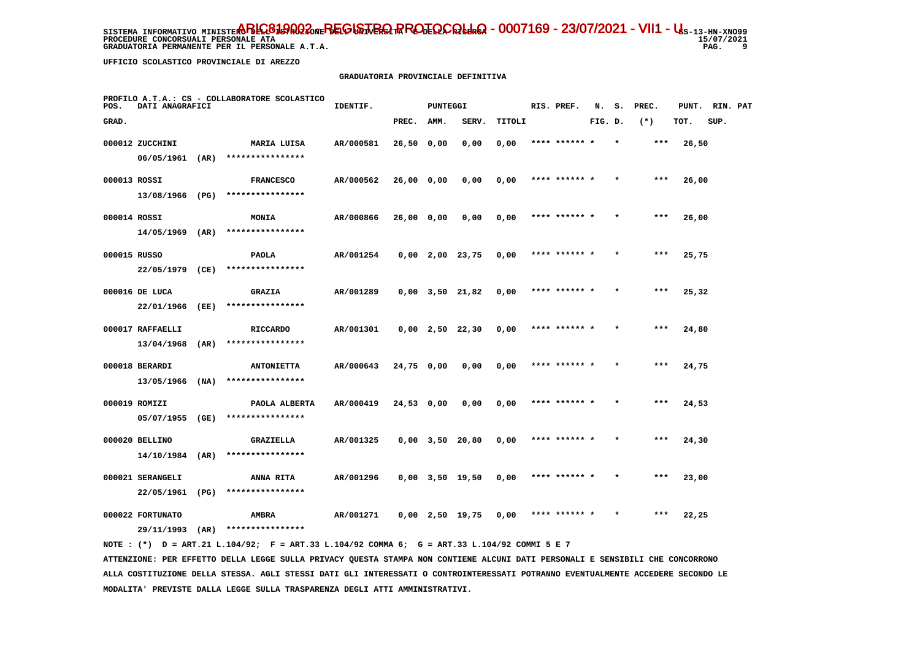**PROCEDURE CONCORSUALI PERSONALE ATA GRADUATORIA PERMANENTE PER IL PERSONALE A.T.A. PAG. 9**

 $15/07/2021$ 9

 **UFFICIO SCOLASTICO PROVINCIALE DI AREZZO**

#### **GRADUATORIA PROVINCIALE DEFINITIVA**

| POS.         | DATI ANAGRAFICI  |      | PROFILO A.T.A.: CS - COLLABORATORE SCOLASTICO | IDENTIF.  |            | PUNTEGGI |                       |        | RIS. PREF.    | N.      | s.      | PREC. | PUNT. | RIN. PAT |  |
|--------------|------------------|------|-----------------------------------------------|-----------|------------|----------|-----------------------|--------|---------------|---------|---------|-------|-------|----------|--|
| GRAD.        |                  |      |                                               |           | PREC.      | AMM.     | SERV.                 | TITOLI |               | FIG. D. |         | $(*)$ | TOT.  | SUP.     |  |
|              | 000012 ZUCCHINI  |      | MARIA LUISA                                   | AR/000581 | 26,50 0,00 |          | 0,00                  | 0,00   | **** ******   |         |         | $***$ | 26,50 |          |  |
|              | 06/05/1961 (AR)  |      | ****************                              |           |            |          |                       |        |               |         |         |       |       |          |  |
| 000013 ROSSI |                  |      | <b>FRANCESCO</b>                              | AR/000562 | 26,00 0,00 |          | 0,00                  | 0,00   | **** ****** * |         |         | ***   | 26,00 |          |  |
|              | 13/08/1966 (PG)  |      | ****************                              |           |            |          |                       |        |               |         |         |       |       |          |  |
| 000014 ROSSI |                  |      | <b>MONIA</b>                                  | AR/000866 | 26,00 0,00 |          | 0,00                  | 0,00   | **** ****** * |         | $\star$ | $***$ | 26,00 |          |  |
|              | 14/05/1969       | (AR) | ****************                              |           |            |          |                       |        |               |         |         |       |       |          |  |
| 000015 RUSSO |                  |      | <b>PAOLA</b>                                  | AR/001254 |            |          | $0,00$ 2,00 23,75     | 0,00   | **** ****** * |         |         | $***$ | 25,75 |          |  |
|              | 22/05/1979 (CE)  |      | ****************                              |           |            |          |                       |        |               |         |         |       |       |          |  |
|              | 000016 DE LUCA   |      | <b>GRAZIA</b>                                 | AR/001289 |            |          | $0,00$ $3,50$ $21,82$ | 0,00   | **** ****** * |         |         | $***$ | 25,32 |          |  |
|              | 22/01/1966       | (EE) | ****************                              |           |            |          |                       |        |               |         |         |       |       |          |  |
|              | 000017 RAFFAELLI |      | <b>RICCARDO</b>                               | AR/001301 |            |          | $0,00$ 2,50 22,30     | 0,00   | **** ****** * |         |         | $***$ | 24,80 |          |  |
|              | 13/04/1968       | (AR) | ****************                              |           |            |          |                       |        |               |         |         |       |       |          |  |
|              | 000018 BERARDI   |      | <b>ANTONIETTA</b>                             | AR/000643 | 24,75 0,00 |          | 0,00                  | 0,00   |               |         |         |       | 24,75 |          |  |
|              | 13/05/1966 (NA)  |      | ****************                              |           |            |          |                       |        |               |         |         |       |       |          |  |
|              | 000019 ROMIZI    |      | PAOLA ALBERTA                                 | AR/000419 | 24,53 0,00 |          | 0,00                  | 0,00   | **** ****** * |         |         | ***   | 24,53 |          |  |
|              | 05/07/1955       | (GE) | ****************                              |           |            |          |                       |        |               |         |         |       |       |          |  |
|              | 000020 BELLINO   |      | GRAZIELLA                                     | AR/001325 |            |          | $0,00$ $3,50$ $20,80$ | 0,00   | **** ****** * |         | $\star$ | ***   | 24,30 |          |  |
|              | 14/10/1984       | (AR) | ****************                              |           |            |          |                       |        |               |         |         |       |       |          |  |
|              | 000021 SERANGELI |      | ANNA RITA                                     | AR/001296 |            |          | $0,00$ $3,50$ $19,50$ | 0,00   | **** ****** * |         |         | $***$ | 23,00 |          |  |
|              | 22/05/1961       | (PG) | ****************                              |           |            |          |                       |        |               |         |         |       |       |          |  |
|              | 000022 FORTUNATO |      | AMBRA                                         | AR/001271 |            |          | $0,00$ 2,50 19,75     | 0,00   |               |         |         | ***   | 22,25 |          |  |
|              | 29/11/1993       | (AR) | ****************                              |           |            |          |                       |        |               |         |         |       |       |          |  |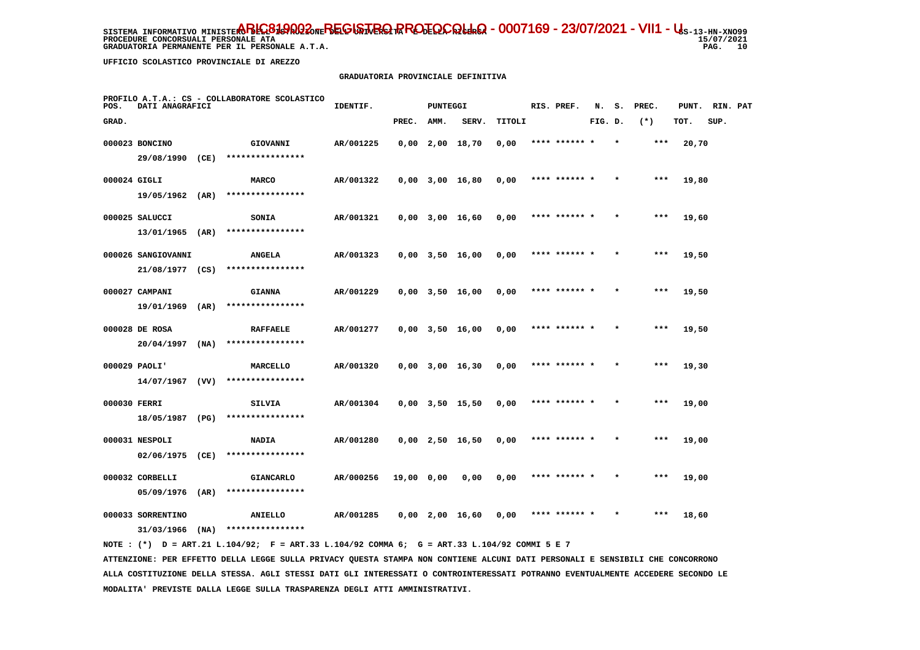**PROCEDURE CONCORSUALI PERSONALE ATA GRADUATORIA PERMANENTE PER IL PERSONALE A.T.A.**   $15/07/2021$ PAG. 10

 **UFFICIO SCOLASTICO PROVINCIALE DI AREZZO**

#### **GRADUATORIA PROVINCIALE DEFINITIVA**

| POS.         | DATI ANAGRAFICI    |      | PROFILO A.T.A.: CS - COLLABORATORE SCOLASTICO | IDENTIF.  |            | <b>PUNTEGGI</b> |                       |        | RIS. PREF.    | N.      | s.      | PREC. | PUNT. | RIN. PAT |  |
|--------------|--------------------|------|-----------------------------------------------|-----------|------------|-----------------|-----------------------|--------|---------------|---------|---------|-------|-------|----------|--|
| GRAD.        |                    |      |                                               |           | PREC.      | AMM.            | SERV.                 | TITOLI |               | FIG. D. |         | $(*)$ | TOT.  | SUP.     |  |
|              | 000023 BONCINO     |      | GIOVANNI                                      | AR/001225 |            |                 | $0,00$ 2,00 18,70     | 0,00   | **** ****** * |         |         | $***$ | 20,70 |          |  |
|              | 29/08/1990         | (CE) | ****************                              |           |            |                 |                       |        |               |         |         |       |       |          |  |
| 000024 GIGLI |                    |      | <b>MARCO</b>                                  | AR/001322 |            |                 | $0,00$ $3,00$ $16,80$ | 0,00   | **** ****** * |         |         | ***   | 19,80 |          |  |
|              | 19/05/1962 (AR)    |      | ****************                              |           |            |                 |                       |        |               |         |         |       |       |          |  |
|              | 000025 SALUCCI     |      | SONIA                                         | AR/001321 |            |                 | $0,00$ 3,00 16,60     | 0,00   | **** ****** * |         |         | $***$ | 19,60 |          |  |
|              | 13/01/1965         | (AR) | ****************                              |           |            |                 |                       |        |               |         |         |       |       |          |  |
|              | 000026 SANGIOVANNI |      | <b>ANGELA</b>                                 | AR/001323 |            |                 | $0,00$ 3,50 16,00     | 0,00   | **** ****** * |         |         | $***$ | 19,50 |          |  |
|              | 21/08/1977 (CS)    |      | ****************                              |           |            |                 |                       |        |               |         |         |       |       |          |  |
|              | 000027 CAMPANI     |      | <b>GIANNA</b>                                 | AR/001229 |            |                 | $0,00$ $3,50$ $16,00$ | 0,00   | **** ****** * |         |         | $***$ | 19,50 |          |  |
|              | 19/01/1969         | (AR) | ****************                              |           |            |                 |                       |        |               |         |         |       |       |          |  |
|              | 000028 DE ROSA     |      | <b>RAFFAELE</b>                               | AR/001277 |            |                 | $0,00$ $3,50$ $16,00$ | 0,00   | **** ****** * |         |         | ***   | 19,50 |          |  |
|              | 20/04/1997         | (NA) | ****************                              |           |            |                 |                       |        |               |         |         |       |       |          |  |
|              | 000029 PAOLI'      |      | MARCELLO                                      | AR/001320 |            |                 | $0,00$ 3,00 16,30     | 0,00   | **** ******   |         |         | ***   | 19,30 |          |  |
|              | $14/07/1967$ (VV)  |      | ****************                              |           |            |                 |                       |        |               |         |         |       |       |          |  |
| 000030 FERRI |                    |      | SILVIA                                        | AR/001304 |            |                 | $0,00$ $3,50$ $15,50$ | 0,00   | **** ****** * |         |         | $***$ | 19,00 |          |  |
|              | 18/05/1987         | (PG) | ****************                              |           |            |                 |                       |        |               |         |         |       |       |          |  |
|              | 000031 NESPOLI     |      | <b>NADIA</b>                                  | AR/001280 |            |                 | $0,00$ 2,50 16,50     | 0,00   | **** ****** * |         | $\star$ | $***$ | 19,00 |          |  |
|              | 02/06/1975         | (CE) | ****************                              |           |            |                 |                       |        |               |         |         |       |       |          |  |
|              | 000032 CORBELLI    |      | <b>GIANCARLO</b>                              | AR/000256 | 19,00 0,00 |                 | 0,00                  | 0,00   | **** ****** * |         |         | ***   | 19,00 |          |  |
|              | 05/09/1976         | (AR) | ****************                              |           |            |                 |                       |        |               |         |         |       |       |          |  |
|              | 000033 SORRENTINO  |      | ANIELLO                                       | AR/001285 |            |                 | $0,00$ 2,00 16,60     | 0,00   | **** ****** * |         |         | ***   | 18,60 |          |  |
|              | 31/03/1966         | (NA) | ****************                              |           |            |                 |                       |        |               |         |         |       |       |          |  |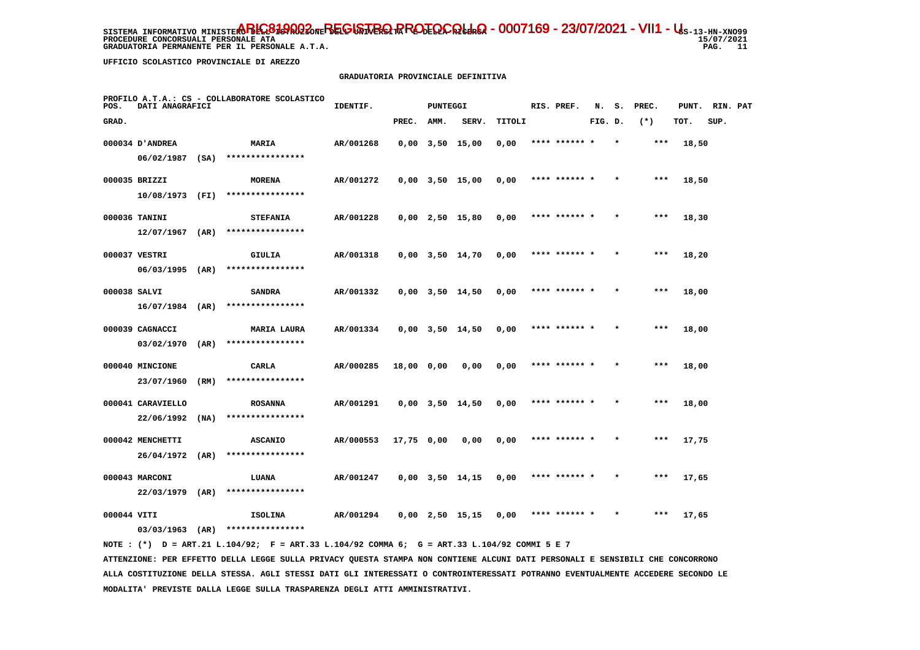GRADUATORIA PERMANENTE PER IL PERSONALE A.T.A.

 $15/07/2021$ PAG. 11

 **UFFICIO SCOLASTICO PROVINCIALE DI AREZZO**

### **GRADUATORIA PROVINCIALE DEFINITIVA**

| POS.         | DATI ANAGRAFICI   |      | PROFILO A.T.A.: CS - COLLABORATORE SCOLASTICO | IDENTIF.  |            | PUNTEGGI |                       |        | RIS. PREF.    | N.      | s.      | PREC. | PUNT. | RIN. PAT |  |
|--------------|-------------------|------|-----------------------------------------------|-----------|------------|----------|-----------------------|--------|---------------|---------|---------|-------|-------|----------|--|
| GRAD.        |                   |      |                                               |           | PREC.      | AMM.     | SERV.                 | TITOLI |               | FIG. D. |         | $(*)$ | TOT.  | SUP.     |  |
|              | 000034 D'ANDREA   |      | MARIA                                         | AR/001268 |            |          | $0,00$ $3,50$ $15,00$ | 0,00   | **** ******   |         |         | $***$ | 18,50 |          |  |
|              | $06/02/1987$ (SA) |      | ****************                              |           |            |          |                       |        |               |         |         |       |       |          |  |
|              | 000035 BRIZZI     |      | <b>MORENA</b>                                 | AR/001272 |            |          | $0,00$ $3,50$ $15,00$ | 0,00   | **** ****** * |         |         | ***   | 18,50 |          |  |
|              | 10/08/1973 (FI)   |      | ****************                              |           |            |          |                       |        |               |         |         |       |       |          |  |
|              | 000036 TANINI     |      | <b>STEFANIA</b>                               | AR/001228 |            |          | $0,00$ 2,50 15,80     | 0,00   | **** ****** * |         | $\star$ | $***$ | 18,30 |          |  |
|              | 12/07/1967        | (AR) | ****************                              |           |            |          |                       |        |               |         |         |       |       |          |  |
|              | 000037 VESTRI     |      | GIULIA                                        | AR/001318 |            |          | $0,00$ $3,50$ $14,70$ | 0,00   | **** ****** * |         |         | $***$ | 18,20 |          |  |
|              | $06/03/1995$ (AR) |      | ****************                              |           |            |          |                       |        |               |         |         |       |       |          |  |
| 000038 SALVI |                   |      | <b>SANDRA</b>                                 | AR/001332 |            |          | $0,00$ $3,50$ $14,50$ | 0,00   | **** ****** * |         |         | ***   | 18,00 |          |  |
|              | $16/07/1984$ (AR) |      | ****************                              |           |            |          |                       |        |               |         |         |       |       |          |  |
|              | 000039 CAGNACCI   |      | <b>MARIA LAURA</b>                            | AR/001334 |            |          | $0,00$ $3,50$ $14,50$ | 0,00   | **** ****** * |         | $\star$ | $***$ | 18,00 |          |  |
|              | 03/02/1970        | (AR) | ****************                              |           |            |          |                       |        |               |         |         |       |       |          |  |
|              | 000040 MINCIONE   |      | CARLA                                         | AR/000285 | 18,00 0,00 |          | 0,00                  | 0,00   | **** ******   |         |         | ***   | 18,00 |          |  |
|              | 23/07/1960        | (RM) | ****************                              |           |            |          |                       |        |               |         |         |       |       |          |  |
|              | 000041 CARAVIELLO |      | <b>ROSANNA</b>                                | AR/001291 |            |          | $0,00$ $3,50$ $14,50$ | 0,00   | **** ****** * |         |         | $***$ | 18,00 |          |  |
|              | 22/06/1992        | (NA) | ****************                              |           |            |          |                       |        |               |         |         |       |       |          |  |
|              | 000042 MENCHETTI  |      | <b>ASCANIO</b>                                | AR/000553 | 17,75 0,00 |          | 0,00                  | 0,00   | **** ****** * |         | $\star$ | $***$ | 17,75 |          |  |
|              | 26/04/1972        | (AR) | ****************                              |           |            |          |                       |        |               |         |         |       |       |          |  |
|              | 000043 MARCONI    |      | LUANA                                         | AR/001247 |            |          | $0,00$ $3,50$ $14,15$ | 0,00   | **** ****** * |         |         | $***$ | 17,65 |          |  |
|              | 22/03/1979 (AR)   |      | ****************                              |           |            |          |                       |        |               |         |         |       |       |          |  |
| 000044 VITI  |                   |      | <b>ISOLINA</b>                                | AR/001294 |            |          | $0.00$ $2.50$ $15.15$ | 0.00   | **** ****** * |         |         | $***$ | 17,65 |          |  |
|              | $03/03/1963$ (AR) |      | ****************                              |           |            |          |                       |        |               |         |         |       |       |          |  |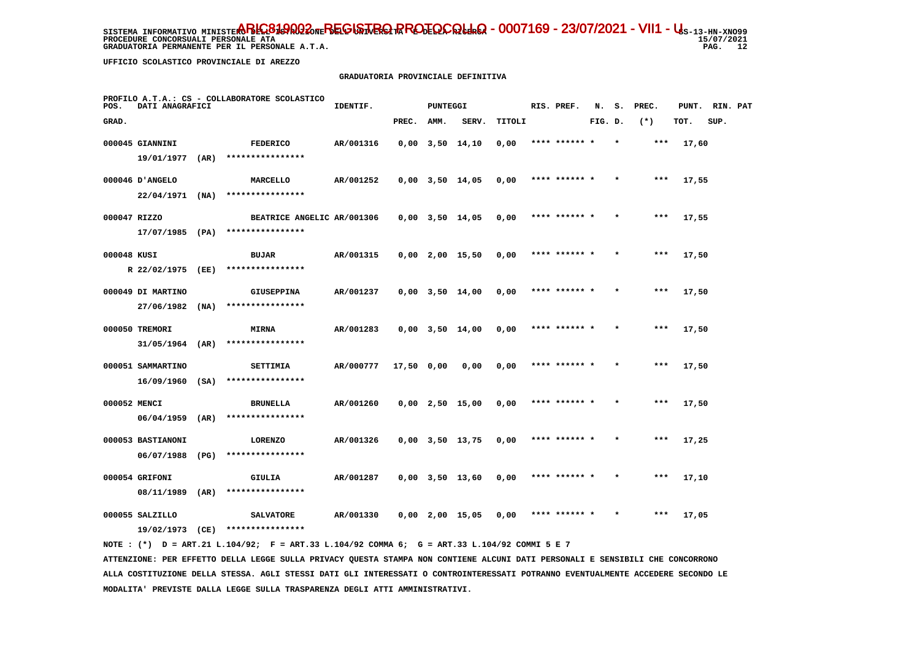SISTEMA INFORMATIVO MINISTE**RO BELGISTA DEL GISTRIQ PROTOCOLLO - 0007169 - 23/07/2021 - VII1 - U**s-13-HN-XNO99 **PROCEDURE CONCORSUALI PERSONALE ATA GRADUATORIA PERMANENTE PER IL PERSONALE A.T.A.** 

 **UFFICIO SCOLASTICO PROVINCIALE DI AREZZO**

### **GRADUATORIA PROVINCIALE DEFINITIVA**

| POS.         | DATI ANAGRAFICI                        |      | PROFILO A.T.A.: CS - COLLABORATORE SCOLASTICO | IDENTIF.  |            | <b>PUNTEGGI</b> |                       |        | RIS. PREF.    | N.      | s. | PREC. | PUNT. | RIN. PAT |  |
|--------------|----------------------------------------|------|-----------------------------------------------|-----------|------------|-----------------|-----------------------|--------|---------------|---------|----|-------|-------|----------|--|
| GRAD.        |                                        |      |                                               |           | PREC.      | AMM.            | SERV.                 | TITOLI |               | FIG. D. |    | $(*)$ | TOT.  | SUP.     |  |
|              | 000045 GIANNINI                        |      | <b>FEDERICO</b>                               | AR/001316 |            |                 | $0,00$ $3,50$ $14,10$ | 0,00   | **** ****** * |         |    | ***   | 17,60 |          |  |
|              | 19/01/1977                             | (AR) | ****************                              |           |            |                 |                       |        |               |         |    |       |       |          |  |
|              | 000046 D'ANGELO                        |      | MARCELLO                                      | AR/001252 |            |                 | $0,00$ $3,50$ $14,05$ | 0,00   | **** ****** * |         |    | $***$ | 17,55 |          |  |
|              | $22/04/1971$ (NA)                      |      | ****************                              |           |            |                 |                       |        |               |         |    |       |       |          |  |
| 000047 RIZZO |                                        |      | BEATRICE ANGELIC AR/001306                    |           |            |                 | $0,00$ 3,50 14,05     | 0,00   | **** ****** * |         |    | ***   | 17,55 |          |  |
|              | $17/07/1985$ (PA)                      |      | ****************                              |           |            |                 |                       |        |               |         |    |       |       |          |  |
| 000048 KUSI  |                                        |      | <b>BUJAR</b>                                  | AR/001315 |            |                 | $0,00$ 2,00 15,50     | 0,00   | **** ****** * |         |    | ***   | 17,50 |          |  |
|              | R 22/02/1975 (EE)                      |      | ****************                              |           |            |                 |                       |        |               |         |    |       |       |          |  |
|              | 000049 DI MARTINO                      |      | <b>GIUSEPPINA</b>                             | AR/001237 |            |                 | $0,00$ $3,50$ $14,00$ | 0,00   | **** ****** * |         |    | ***   | 17,50 |          |  |
|              | 27/06/1982                             | (NA) | ****************                              |           |            |                 |                       |        |               |         |    |       |       |          |  |
|              | 000050 TREMORI                         |      | <b>MIRNA</b><br>****************              | AR/001283 |            |                 | $0,00$ $3,50$ $14,00$ | 0,00   | **** ****** * |         |    | $***$ | 17,50 |          |  |
|              | $31/05/1964$ (AR)                      |      |                                               |           |            |                 |                       |        |               |         |    |       |       |          |  |
|              | 000051 SAMMARTINO<br>$16/09/1960$ (SA) |      | <b>SETTIMIA</b><br>****************           | AR/000777 | 17,50 0,00 |                 | 0,00                  | 0,00   | **** ****** * |         |    | $***$ | 17,50 |          |  |
|              |                                        |      |                                               |           |            |                 |                       |        |               |         |    |       |       |          |  |
| 000052 MENCI | 06/04/1959                             | (AR) | <b>BRUNELLA</b><br>****************           | AR/001260 |            |                 | $0,00$ 2,50 15,00     | 0,00   |               |         |    | ***   | 17,50 |          |  |
|              | 000053 BASTIANONI                      |      | <b>LORENZO</b>                                | AR/001326 |            |                 | $0,00$ $3,50$ $13,75$ | 0,00   | **** ****** * |         |    | ***   | 17,25 |          |  |
|              | 06/07/1988 (PG)                        |      | ****************                              |           |            |                 |                       |        |               |         |    |       |       |          |  |
|              | 000054 GRIFONI                         |      | GIULIA                                        | AR/001287 |            |                 | $0,00$ $3,50$ $13,60$ | 0,00   | **** ****** * |         |    | ***   | 17,10 |          |  |
|              | 08/11/1989                             | (AR) | ****************                              |           |            |                 |                       |        |               |         |    |       |       |          |  |
|              | 000055 SALZILLO                        |      | <b>SALVATORE</b>                              | AR/001330 |            |                 | $0,00$ 2,00 15,05     | 0,00   | **** ****** * |         |    | ***   | 17,05 |          |  |
|              | 19/02/1973                             | (CE) | ****************                              |           |            |                 |                       |        |               |         |    |       |       |          |  |
|              |                                        |      |                                               |           |            |                 |                       |        |               |         |    |       |       |          |  |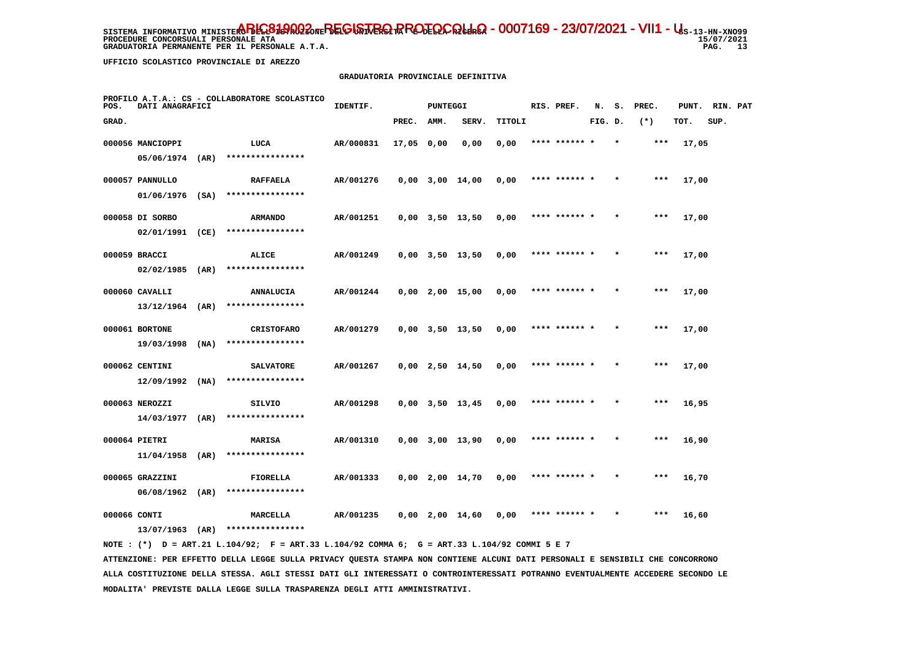**GRADUATORIA PERMANENTE PER IL PERSONALE A.T.A.** 

 **UFFICIO SCOLASTICO PROVINCIALE DI AREZZO**

#### **GRADUATORIA PROVINCIALE DEFINITIVA**

| POS.  | DATI ANAGRAFICI   |      | PROFILO A.T.A.: CS - COLLABORATORE SCOLASTICO | IDENTIF.  |            | PUNTEGGI |                       |        | RIS. PREF.    | N.      |         | S. PREC. |       | PUNT. RIN. PAT |  |
|-------|-------------------|------|-----------------------------------------------|-----------|------------|----------|-----------------------|--------|---------------|---------|---------|----------|-------|----------------|--|
| GRAD. |                   |      |                                               |           | PREC.      | AMM.     | SERV.                 | TITOLI |               | FIG. D. |         | $(*)$    | TOT.  | SUP.           |  |
|       | 000056 MANCIOPPI  |      | LUCA                                          | AR/000831 | 17,05 0,00 |          | 0,00                  | 0,00   |               |         |         | ***      | 17,05 |                |  |
|       | $05/06/1974$ (AR) |      | ****************                              |           |            |          |                       |        |               |         |         |          |       |                |  |
|       | 000057 PANNULLO   |      | <b>RAFFAELA</b>                               | AR/001276 |            |          | $0,00$ $3,00$ $14,00$ | 0,00   | **** ****** * |         |         | $***$    | 17,00 |                |  |
|       | $01/06/1976$ (SA) |      | ****************                              |           |            |          |                       |        |               |         |         |          |       |                |  |
|       | 000058 DI SORBO   |      | <b>ARMANDO</b>                                | AR/001251 |            |          | $0,00$ $3,50$ $13,50$ | 0,00   | **** ****** * |         | $\star$ | ***      | 17,00 |                |  |
|       | 02/01/1991        | (CE) | ****************                              |           |            |          |                       |        |               |         |         |          |       |                |  |
|       | 000059 BRACCI     |      | ALICE                                         | AR/001249 |            |          | $0,00$ $3,50$ $13,50$ | 0,00   | **** ****** * |         |         | $***$    | 17,00 |                |  |
|       | $02/02/1985$ (AR) |      | ****************                              |           |            |          |                       |        |               |         |         |          |       |                |  |
|       | 000060 CAVALLI    |      | <b>ANNALUCIA</b>                              | AR/001244 |            |          | $0,00$ 2,00 15,00     | 0,00   | **** ****** * |         |         | $***$    | 17,00 |                |  |
|       | $13/12/1964$ (AR) |      | ****************                              |           |            |          |                       |        |               |         |         |          |       |                |  |
|       | 000061 BORTONE    |      | <b>CRISTOFARO</b>                             | AR/001279 |            |          | $0,00$ $3,50$ $13,50$ | 0,00   | **** ****** * |         |         | $***$    | 17,00 |                |  |
|       | 19/03/1998        | (NA) | ****************                              |           |            |          |                       |        |               |         |         |          |       |                |  |
|       | 000062 CENTINI    |      | <b>SALVATORE</b>                              | AR/001267 |            |          | $0,00$ 2,50 14,50     | 0,00   | **** ****** * |         |         | $***$    | 17,00 |                |  |
|       | $12/09/1992$ (NA) |      | ****************                              |           |            |          |                       |        |               |         |         |          |       |                |  |
|       | 000063 NEROZZI    |      | SILVIO                                        | AR/001298 |            |          | $0,00$ $3,50$ $13,45$ | 0,00   | **** ****** * |         |         | $***$    | 16,95 |                |  |
|       | $14/03/1977$ (AR) |      | ****************                              |           |            |          |                       |        |               |         |         |          |       |                |  |
|       | 000064 PIETRI     |      | MARISA                                        | AR/001310 |            |          | $0,00$ 3,00 13,90     | 0,00   | **** ****** * |         |         | ***      | 16,90 |                |  |
|       | $11/04/1958$ (AR) |      | ****************                              |           |            |          |                       |        |               |         |         |          |       |                |  |
|       | 000065 GRAZZINI   |      | FIORELLA                                      | AR/001333 |            |          | $0,00$ 2,00 14,70     | 0,00   | **** ****** * |         |         | $***$    | 16,70 |                |  |
|       | $06/08/1962$ (AR) |      | ****************                              |           |            |          |                       |        |               |         |         |          |       |                |  |
|       | 000066 CONTI      |      | <b>MARCELLA</b>                               | AR/001235 |            |          | 0,00 2,00 14,60       | 0,00   | **** ******   |         |         | ***      | 16,60 |                |  |
|       | $13/07/1963$ (AR) |      | ****************                              |           |            |          |                       |        |               |         |         |          |       |                |  |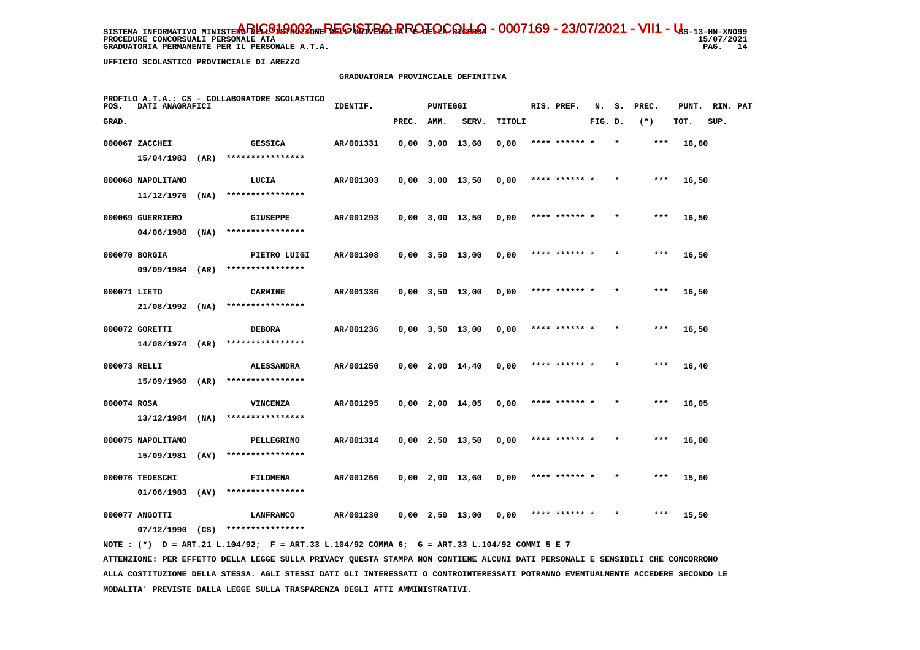**PROCEDURE CONCORSUALI PERSONALE ATA GRADUATORIA PERMANENTE PER IL PERSONALE A.T.A.**   $15/07/2021$ PAG. 14

 **UFFICIO SCOLASTICO PROVINCIALE DI AREZZO**

#### **GRADUATORIA PROVINCIALE DEFINITIVA**

| PROFILO A.T.A.: CS - COLLABORATORE SCOLASTICO<br>POS.<br>DATI ANAGRAFICI |                   |      |                               | IDENTIF.<br>PUNTEGGI |       |      |                       |        |  | RIS. PREF.    | N.      | s.      | PREC. | PUNT. | RIN. PAT |  |
|--------------------------------------------------------------------------|-------------------|------|-------------------------------|----------------------|-------|------|-----------------------|--------|--|---------------|---------|---------|-------|-------|----------|--|
| GRAD.                                                                    |                   |      |                               |                      | PREC. | AMM. | SERV.                 | TITOLI |  |               | FIG. D. |         | $(*)$ | TOT.  | SUP.     |  |
|                                                                          | 000067 ZACCHEI    |      | <b>GESSICA</b>                | AR/001331            |       |      | $0.00$ $3.00$ $13.60$ | 0,00   |  | **** ****** * |         | $\star$ | ***   | 16,60 |          |  |
|                                                                          | 15/04/1983        | (AR) | ****************              |                      |       |      |                       |        |  |               |         |         |       |       |          |  |
|                                                                          | 000068 NAPOLITANO |      | LUCIA                         | AR/001303            |       |      | $0,00$ $3,00$ $13,50$ | 0,00   |  | **** ****** * |         |         | $***$ | 16,50 |          |  |
|                                                                          | 11/12/1976        | (NA) | ****************              |                      |       |      |                       |        |  |               |         |         |       |       |          |  |
|                                                                          | 000069 GUERRIERO  |      | <b>GIUSEPPE</b>               | AR/001293            |       |      | $0,00$ $3,00$ $13,50$ | 0,00   |  | **** ****** * |         | $\star$ | ***   | 16,50 |          |  |
|                                                                          | 04/06/1988        | (NA) | ****************              |                      |       |      |                       |        |  |               |         |         |       |       |          |  |
|                                                                          | 000070 BORGIA     |      | PIETRO LUIGI                  | AR/001308            |       |      | $0,00$ $3,50$ $13,00$ | 0,00   |  | **** ****** * |         |         | $***$ | 16,50 |          |  |
|                                                                          | 09/09/1984 (AR)   |      | ****************              |                      |       |      |                       |        |  |               |         |         |       |       |          |  |
|                                                                          | 000071 LIETO      |      | <b>CARMINE</b>                | AR/001336            |       |      | $0,00$ $3,50$ $13,00$ | 0,00   |  | **** ****** * |         | $\star$ | $***$ | 16,50 |          |  |
|                                                                          | $21/08/1992$ (NA) |      | ****************              |                      |       |      |                       |        |  |               |         |         |       |       |          |  |
|                                                                          | 000072 GORETTI    |      | <b>DEBORA</b>                 | AR/001236            |       |      | $0,00$ $3,50$ $13,00$ | 0,00   |  | **** ****** * |         | $\star$ | ***   | 16,50 |          |  |
|                                                                          | $14/08/1974$ (AR) |      | ****************              |                      |       |      |                       |        |  |               |         |         |       |       |          |  |
|                                                                          | 000073 RELLI      |      | <b>ALESSANDRA</b>             | AR/001250            |       |      | $0,00$ 2,00 14,40     | 0,00   |  |               |         |         | $***$ | 16,40 |          |  |
|                                                                          | 15/09/1960 (AR)   |      | ****************              |                      |       |      |                       |        |  |               |         |         |       |       |          |  |
| 000074 ROSA                                                              |                   |      | <b>VINCENZA</b>               | AR/001295            |       |      | $0,00$ 2,00 14,05     | 0,00   |  | **** ****** * |         |         | $***$ | 16,05 |          |  |
|                                                                          | $13/12/1984$ (NA) |      | ****************              |                      |       |      |                       |        |  |               |         |         |       |       |          |  |
|                                                                          | 000075 NAPOLITANO |      | PELLEGRINO                    | AR/001314            |       |      | $0,00$ 2,50 13,50     | 0,00   |  | **** ****** * |         |         | $***$ | 16,00 |          |  |
|                                                                          | 15/09/1981        | (AV) | ****************              |                      |       |      |                       |        |  |               |         |         |       |       |          |  |
|                                                                          | 000076 TEDESCHI   |      | <b>FILOMENA</b>               | AR/001266            |       |      | $0,00$ 2,00 13,60     | 0,00   |  | **** ****** * |         |         | $***$ | 15,60 |          |  |
|                                                                          | $01/06/1983$ (AV) |      | ****************              |                      |       |      |                       |        |  |               |         |         |       |       |          |  |
|                                                                          | 000077 ANGOTTI    | (CS) | LANFRANCO<br>**************** | AR/001230            |       |      | 0,00 2,50 13,00       | 0,00   |  | **** ******   |         |         | ***   | 15,50 |          |  |
|                                                                          | 07/12/1990        |      |                               |                      |       |      |                       |        |  |               |         |         |       |       |          |  |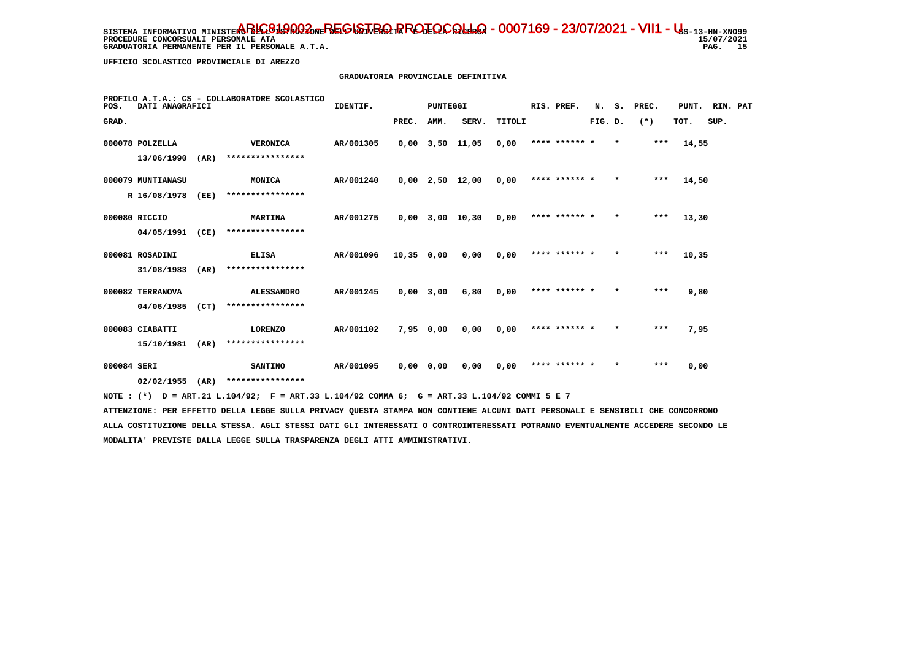SISTEMA INFORMATIVO MINISTE**RO BELGISTA DEL GISTRIQ PROTOCOLLO - 0007169 - 23/07/2021 - VII1 - U**s-13-HN-XNO99 **PROCEDURE CONCORSUALI PERSONALE ATA** GRADUATORIA PERMANENTE PER IL PERSONALE A.T.A.

 **UFFICIO SCOLASTICO PROVINCIALE DI AREZZO**

# **GRADUATORIA PROVINCIALE DEFINITIVA**

| PROFILO A.T.A.: CS - COLLABORATORE SCOLASTICO<br>DATI ANAGRAFICI<br>POS. |                   |      |                                                                                             | IDENTIF.<br>PUNTEGGI |              |           |                       |        |  | RIS. PREF.    | N.      |         | S. PREC. | PUNT. | RIN. PAT |  |
|--------------------------------------------------------------------------|-------------------|------|---------------------------------------------------------------------------------------------|----------------------|--------------|-----------|-----------------------|--------|--|---------------|---------|---------|----------|-------|----------|--|
| GRAD.                                                                    |                   |      |                                                                                             |                      | PREC.        | AMM.      | SERV.                 | TITOLI |  |               | FIG. D. |         | $(*)$    | TOT.  | SUP.     |  |
|                                                                          | 000078 POLZELLA   |      | <b>VERONICA</b>                                                                             | AR/001305            |              |           | $0,00$ $3,50$ $11,05$ | 0.00   |  | **** ****** * |         | $\star$ | ***      | 14,55 |          |  |
|                                                                          | 13/06/1990        | (AR) | ****************                                                                            |                      |              |           |                       |        |  |               |         |         |          |       |          |  |
|                                                                          | 000079 MUNTIANASU |      | <b>MONICA</b>                                                                               | AR/001240            |              |           | $0,00$ 2,50 12,00     | 0,00   |  | **** ****** * |         | $\star$ | ***      | 14,50 |          |  |
|                                                                          | R 16/08/1978      | (EE) | ****************                                                                            |                      |              |           |                       |        |  |               |         |         |          |       |          |  |
| 000080 RICCIO                                                            |                   |      | <b>MARTINA</b>                                                                              | AR/001275            |              |           | $0.00$ $3.00$ $10.30$ | 0.00   |  | **** ****** * |         | $\star$ | ***      | 13,30 |          |  |
|                                                                          | 04/05/1991        | (CE) | ****************                                                                            |                      |              |           |                       |        |  |               |         |         |          |       |          |  |
|                                                                          | 000081 ROSADINI   |      | ELISA                                                                                       | AR/001096            | $10,35$ 0,00 |           | 0,00                  | 0,00   |  | **** ****** * |         | $\star$ | ***      | 10,35 |          |  |
|                                                                          | 31/08/1983        | (AR) | ****************                                                                            |                      |              |           |                       |        |  |               |         |         |          |       |          |  |
|                                                                          | 000082 TERRANOVA  |      | <b>ALESSANDRO</b>                                                                           | AR/001245            | $0,00$ 3,00  |           | 6,80                  | 0,00   |  | **** ****** * |         | $\star$ | ***      | 9,80  |          |  |
|                                                                          | 04/06/1985        | (CT) | ****************                                                                            |                      |              |           |                       |        |  |               |         |         |          |       |          |  |
|                                                                          | 000083 CIABATTI   |      | <b>LORENZO</b>                                                                              | AR/001102            |              | 7,95 0,00 | 0,00                  | 0,00   |  | **** ****** * |         |         | $***$    | 7,95  |          |  |
|                                                                          | 15/10/1981        | (AR) | ****************                                                                            |                      |              |           |                       |        |  |               |         |         |          |       |          |  |
| 000084 SERI                                                              |                   |      | <b>SANTINO</b>                                                                              | AR/001095            | $0,00$ 0,00  |           | 0,00                  | 0,00   |  | **** ****** * |         | $\star$ | ***      | 0,00  |          |  |
|                                                                          | 02/02/1955        | (AR) | ****************                                                                            |                      |              |           |                       |        |  |               |         |         |          |       |          |  |
|                                                                          |                   |      | NOTE: (*) D = ART.21 L.104/92; F = ART.33 L.104/92 COMMA 6; G = ART.33 L.104/92 COMMI 5 E 7 |                      |              |           |                       |        |  |               |         |         |          |       |          |  |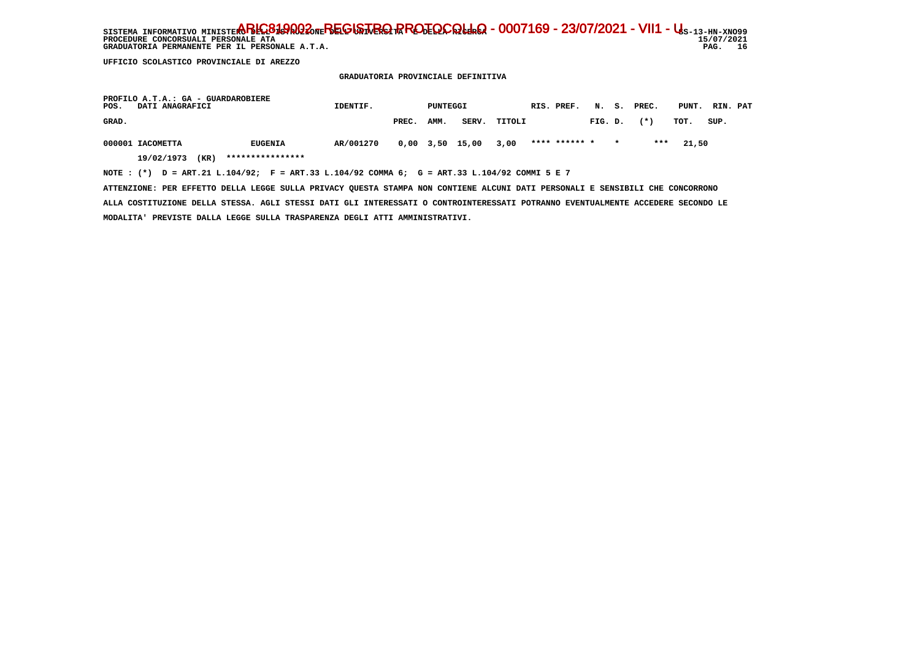SISTEMA INFORMATIVO MINISTE**RO BELGISTA DEL GISTRIQ PROTOCOLLO - 0007169 - 23/07/2021 - VII1 - U**s-13-HN-XNO99  $15/07/2021$ **PROCEDURE CONCORSUALI PERSONALE ATA** PAG. 16 GRADUATORIA PERMANENTE PER IL PERSONALE A.T.A.

 **UFFICIO SCOLASTICO PROVINCIALE DI AREZZO**

 **GRADUATORIA PROVINCIALE DEFINITIVA**

| PROFILO A.T.A.: GA - GUARDAROBIERE<br>POS.<br>DATI ANAGRAFICI |                    |                                                                                             | IDENTIF.<br>PUNTEGGI |       |      |                       |              | RIS. PREF. |               |         |         | N. S. PREC. | PUNT. RIN. PAT |      |  |
|---------------------------------------------------------------|--------------------|---------------------------------------------------------------------------------------------|----------------------|-------|------|-----------------------|--------------|------------|---------------|---------|---------|-------------|----------------|------|--|
| GRAD.                                                         |                    |                                                                                             |                      | PREC. | AMM. |                       | SERV. TITOLI |            |               | FIG. D. |         | $(*)$       | тот.           | SUP. |  |
| 000001 IACOMETTA                                              |                    | <b>EUGENIA</b>                                                                              | AR/001270            |       |      | $0,00$ $3,50$ $15,00$ | 3,00         |            | **** ****** * |         | $\star$ | ***         | 21.50          |      |  |
|                                                               | (KR)<br>19/02/1973 | ****************                                                                            |                      |       |      |                       |              |            |               |         |         |             |                |      |  |
|                                                               |                    | NOTE: (*) D = ART.21 L.104/92; F = ART.33 L.104/92 COMMA 6; G = ART.33 L.104/92 COMMI 5 E 7 |                      |       |      |                       |              |            |               |         |         |             |                |      |  |